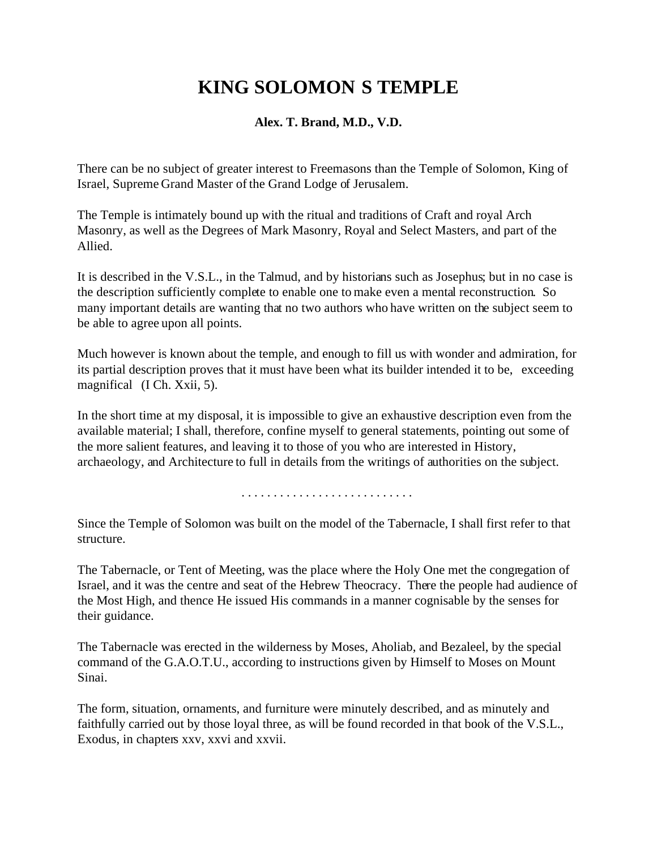# **KING SOLOMON S TEMPLE**

# **Alex. T. Brand, M.D., V.D.**

There can be no subject of greater interest to Freemasons than the Temple of Solomon, King of Israel, Supreme Grand Master of the Grand Lodge of Jerusalem.

The Temple is intimately bound up with the ritual and traditions of Craft and royal Arch Masonry, as well as the Degrees of Mark Masonry, Royal and Select Masters, and part of the Allied.

It is described in the V.S.L., in the Talmud, and by historians such as Josephus; but in no case is the description sufficiently complete to enable one to make even a mental reconstruction. So many important details are wanting that no two authors who have written on the subject seem to be able to agree upon all points.

Much however is known about the temple, and enough to fill us with wonder and admiration, for its partial description proves that it must have been what its builder intended it to be, exceeding magnifical (I Ch. Xxii, 5).

In the short time at my disposal, it is impossible to give an exhaustive description even from the available material; I shall, therefore, confine myself to general statements, pointing out some of the more salient features, and leaving it to those of you who are interested in History, archaeology, and Architecture to full in details from the writings of authorities on the subject.

. . . . . . . . . . . . . . . . . . . . . . . . . . .

Since the Temple of Solomon was built on the model of the Tabernacle, I shall first refer to that structure.

The Tabernacle, or Tent of Meeting, was the place where the Holy One met the congregation of Israel, and it was the centre and seat of the Hebrew Theocracy. There the people had audience of the Most High, and thence He issued His commands in a manner cognisable by the senses for their guidance.

The Tabernacle was erected in the wilderness by Moses, Aholiab, and Bezaleel, by the special command of the G.A.O.T.U., according to instructions given by Himself to Moses on Mount Sinai.

The form, situation, ornaments, and furniture were minutely described, and as minutely and faithfully carried out by those loyal three, as will be found recorded in that book of the V.S.L., Exodus, in chapters xxv, xxvi and xxvii.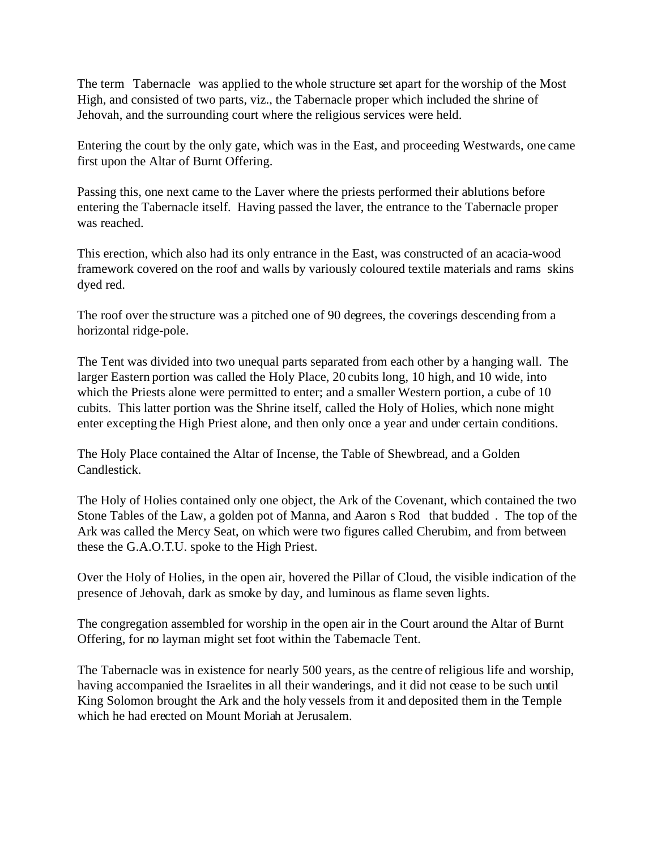The term Tabernacle was applied to the whole structure set apart for the worship of the Most High, and consisted of two parts, viz., the Tabernacle proper which included the shrine of Jehovah, and the surrounding court where the religious services were held.

Entering the court by the only gate, which was in the East, and proceeding Westwards, one came first upon the Altar of Burnt Offering.

Passing this, one next came to the Laver where the priests performed their ablutions before entering the Tabernacle itself. Having passed the laver, the entrance to the Tabernacle proper was reached.

This erection, which also had its only entrance in the East, was constructed of an acacia-wood framework covered on the roof and walls by variously coloured textile materials and rams skins dyed red.

The roof over the structure was a pitched one of 90 degrees, the coverings descending from a horizontal ridge-pole.

The Tent was divided into two unequal parts separated from each other by a hanging wall. The larger Eastern portion was called the Holy Place, 20 cubits long, 10 high, and 10 wide, into which the Priests alone were permitted to enter; and a smaller Western portion, a cube of 10 cubits. This latter portion was the Shrine itself, called the Holy of Holies, which none might enter excepting the High Priest alone, and then only once a year and under certain conditions.

The Holy Place contained the Altar of Incense, the Table of Shewbread, and a Golden Candlestick.

The Holy of Holies contained only one object, the Ark of the Covenant, which contained the two Stone Tables of the Law, a golden pot of Manna, and Aaron s Rod that budded . The top of the Ark was called the Mercy Seat, on which were two figures called Cherubim, and from between these the G.A.O.T.U. spoke to the High Priest.

Over the Holy of Holies, in the open air, hovered the Pillar of Cloud, the visible indication of the presence of Jehovah, dark as smoke by day, and luminous as flame seven lights.

The congregation assembled for worship in the open air in the Court around the Altar of Burnt Offering, for no layman might set foot within the Tabernacle Tent.

The Tabernacle was in existence for nearly 500 years, as the centre of religious life and worship, having accompanied the Israelites in all their wanderings, and it did not cease to be such until King Solomon brought the Ark and the holy vessels from it and deposited them in the Temple which he had erected on Mount Moriah at Jerusalem.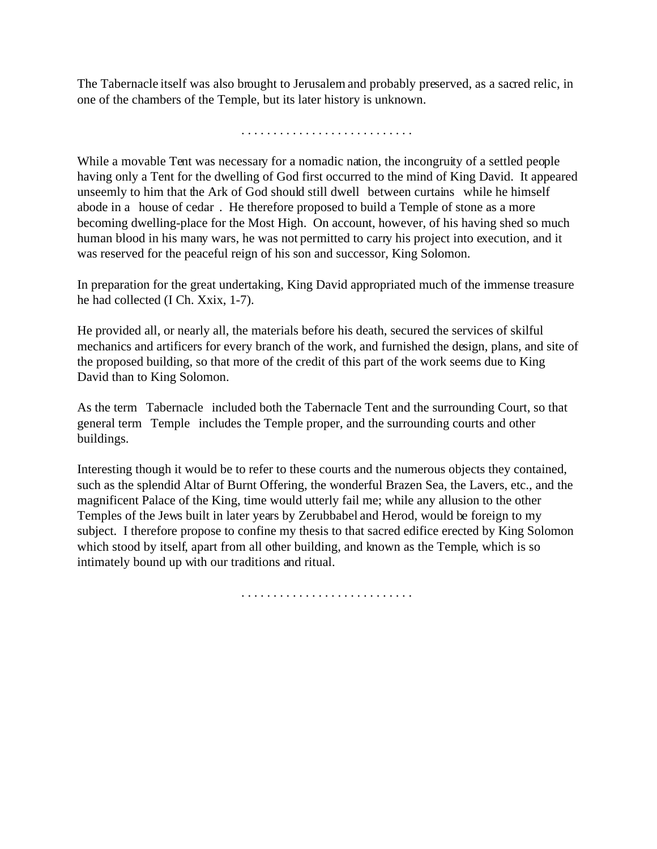The Tabernacle itself was also brought to Jerusalem and probably preserved, as a sacred relic, in one of the chambers of the Temple, but its later history is unknown.

. . . . . . . . . . . . . . . . . . . . . . . . . . .

While a movable Tent was necessary for a nomadic nation, the incongruity of a settled people having only a Tent for the dwelling of God first occurred to the mind of King David. It appeared unseemly to him that the Ark of God should still dwell between curtains while he himself abode in a house of cedar . He therefore proposed to build a Temple of stone as a more becoming dwelling-place for the Most High. On account, however, of his having shed so much human blood in his many wars, he was not permitted to carry his project into execution, and it was reserved for the peaceful reign of his son and successor, King Solomon.

In preparation for the great undertaking, King David appropriated much of the immense treasure he had collected (I Ch. Xxix, 1-7).

He provided all, or nearly all, the materials before his death, secured the services of skilful mechanics and artificers for every branch of the work, and furnished the design, plans, and site of the proposed building, so that more of the credit of this part of the work seems due to King David than to King Solomon.

As the term Tabernacle included both the Tabernacle Tent and the surrounding Court, so that general term Temple includes the Temple proper, and the surrounding courts and other buildings.

Interesting though it would be to refer to these courts and the numerous objects they contained, such as the splendid Altar of Burnt Offering, the wonderful Brazen Sea, the Lavers, etc., and the magnificent Palace of the King, time would utterly fail me; while any allusion to the other Temples of the Jews built in later years by Zerubbabel and Herod, would be foreign to my subject. I therefore propose to confine my thesis to that sacred edifice erected by King Solomon which stood by itself, apart from all other building, and known as the Temple, which is so intimately bound up with our traditions and ritual.

. . . . . . . . . . . . . . . . . . . . . . . . . . .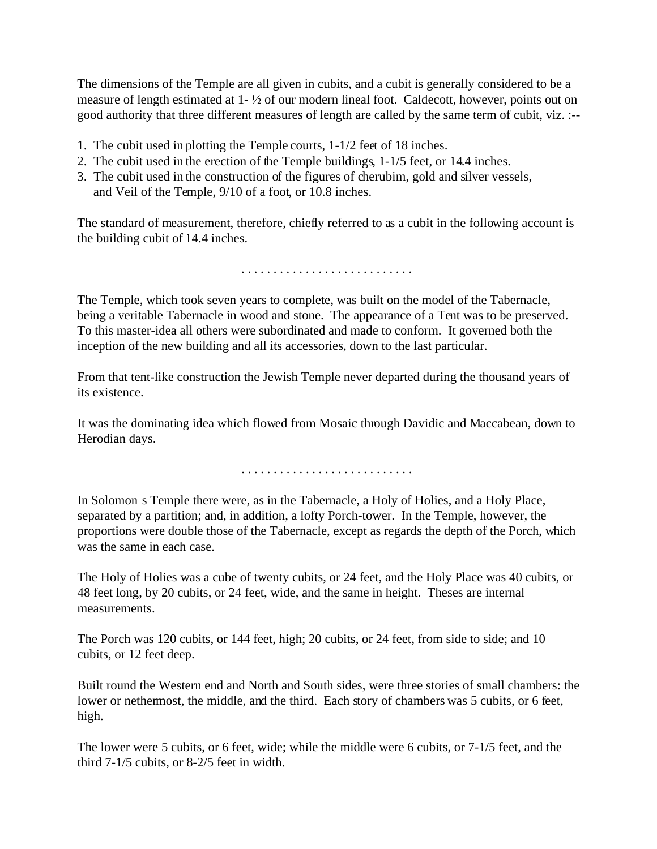The dimensions of the Temple are all given in cubits, and a cubit is generally considered to be a measure of length estimated at 1- ½ of our modern lineal foot. Caldecott, however, points out on good authority that three different measures of length are called by the same term of cubit, viz. :--

- 1. The cubit used in plotting the Temple courts, 1-1/2 feet of 18 inches.
- 2. The cubit used in the erection of the Temple buildings, 1-1/5 feet, or 14.4 inches.
- 3. The cubit used in the construction of the figures of cherubim, gold and silver vessels, and Veil of the Temple, 9/10 of a foot, or 10.8 inches.

The standard of measurement, therefore, chiefly referred to as a cubit in the following account is the building cubit of 14.4 inches.

. . . . . . . . . . . . . . . . . . . . . . . . . . .

The Temple, which took seven years to complete, was built on the model of the Tabernacle, being a veritable Tabernacle in wood and stone. The appearance of a Tent was to be preserved. To this master-idea all others were subordinated and made to conform. It governed both the inception of the new building and all its accessories, down to the last particular.

From that tent-like construction the Jewish Temple never departed during the thousand years of its existence.

It was the dominating idea which flowed from Mosaic through Davidic and Maccabean, down to Herodian days.

. . . . . . . . . . . . . . . . . . . . . . . . . . .

In Solomon s Temple there were, as in the Tabernacle, a Holy of Holies, and a Holy Place, separated by a partition; and, in addition, a lofty Porch-tower. In the Temple, however, the proportions were double those of the Tabernacle, except as regards the depth of the Porch, which was the same in each case.

The Holy of Holies was a cube of twenty cubits, or 24 feet, and the Holy Place was 40 cubits, or 48 feet long, by 20 cubits, or 24 feet, wide, and the same in height. Theses are internal measurements.

The Porch was 120 cubits, or 144 feet, high; 20 cubits, or 24 feet, from side to side; and 10 cubits, or 12 feet deep.

Built round the Western end and North and South sides, were three stories of small chambers: the lower or nethermost, the middle, and the third. Each story of chambers was 5 cubits, or 6 feet, high.

The lower were 5 cubits, or 6 feet, wide; while the middle were 6 cubits, or 7-1/5 feet, and the third 7-1/5 cubits, or 8-2/5 feet in width.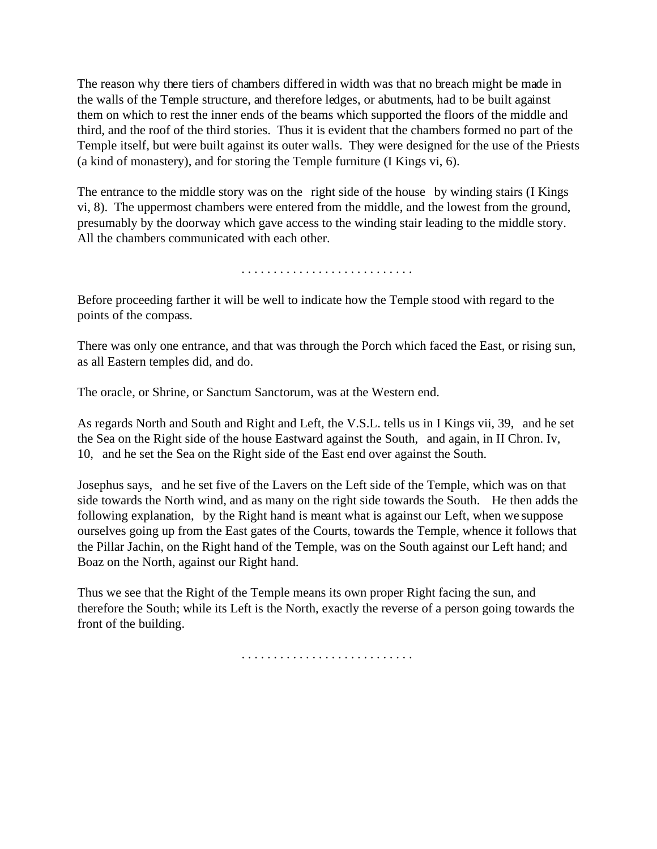The reason why there tiers of chambers differed in width was that no breach might be made in the walls of the Temple structure, and therefore ledges, or abutments, had to be built against them on which to rest the inner ends of the beams which supported the floors of the middle and third, and the roof of the third stories. Thus it is evident that the chambers formed no part of the Temple itself, but were built against its outer walls. They were designed for the use of the Priests (a kind of monastery), and for storing the Temple furniture (I Kings vi, 6).

The entrance to the middle story was on the right side of the house by winding stairs (I Kings vi, 8). The uppermost chambers were entered from the middle, and the lowest from the ground, presumably by the doorway which gave access to the winding stair leading to the middle story. All the chambers communicated with each other.

. . . . . . . . . . . . . . . . . . . . . . . . . . .

Before proceeding farther it will be well to indicate how the Temple stood with regard to the points of the compass.

There was only one entrance, and that was through the Porch which faced the East, or rising sun, as all Eastern temples did, and do.

The oracle, or Shrine, or Sanctum Sanctorum, was at the Western end.

As regards North and South and Right and Left, the V.S.L. tells us in I Kings vii, 39, and he set the Sea on the Right side of the house Eastward against the South, and again, in II Chron. Iv, 10, and he set the Sea on the Right side of the East end over against the South.

Josephus says, and he set five of the Lavers on the Left side of the Temple, which was on that side towards the North wind, and as many on the right side towards the South. He then adds the following explanation, by the Right hand is meant what is against our Left, when we suppose ourselves going up from the East gates of the Courts, towards the Temple, whence it follows that the Pillar Jachin, on the Right hand of the Temple, was on the South against our Left hand; and Boaz on the North, against our Right hand.

Thus we see that the Right of the Temple means its own proper Right facing the sun, and therefore the South; while its Left is the North, exactly the reverse of a person going towards the front of the building.

. . . . . . . . . . . . . . . . . . . . . . . . . . .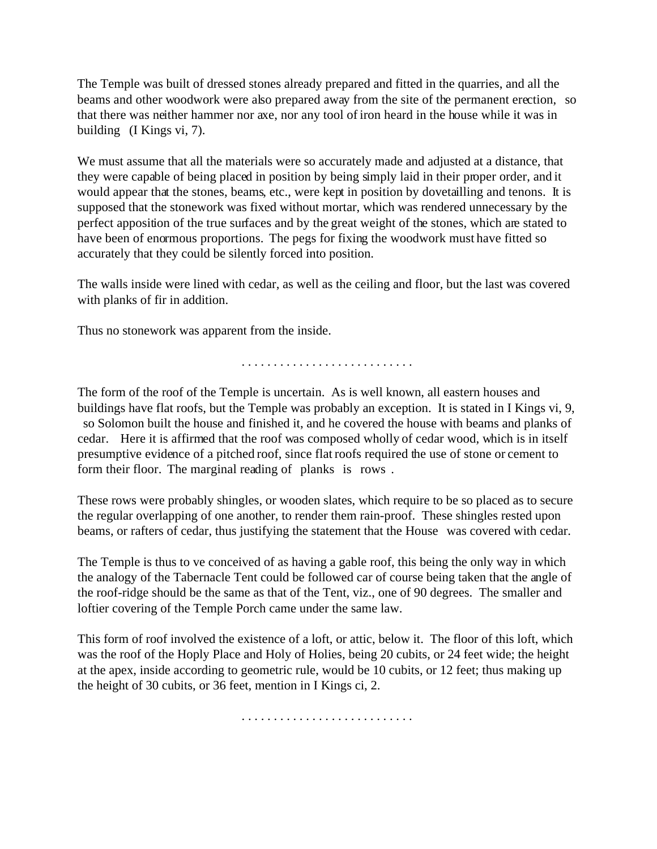The Temple was built of dressed stones already prepared and fitted in the quarries, and all the beams and other woodwork were also prepared away from the site of the permanent erection, so that there was neither hammer nor axe, nor any tool of iron heard in the house while it was in building (I Kings vi, 7).

We must assume that all the materials were so accurately made and adjusted at a distance, that they were capable of being placed in position by being simply laid in their proper order, and it would appear that the stones, beams, etc., were kept in position by dovetailling and tenons. It is supposed that the stonework was fixed without mortar, which was rendered unnecessary by the perfect apposition of the true surfaces and by the great weight of the stones, which are stated to have been of enormous proportions. The pegs for fixing the woodwork must have fitted so accurately that they could be silently forced into position.

The walls inside were lined with cedar, as well as the ceiling and floor, but the last was covered with planks of fir in addition.

Thus no stonework was apparent from the inside.

. . . . . . . . . . . . . . . . . . . . . . . . . . .

The form of the roof of the Temple is uncertain. As is well known, all eastern houses and buildings have flat roofs, but the Temple was probably an exception. It is stated in I Kings vi, 9, so Solomon built the house and finished it, and he covered the house with beams and planks of cedar. Here it is affirmed that the roof was composed wholly of cedar wood, which is in itself presumptive evidence of a pitched roof, since flat roofs required the use of stone or cement to form their floor. The marginal reading of planks is rows .

These rows were probably shingles, or wooden slates, which require to be so placed as to secure the regular overlapping of one another, to render them rain-proof. These shingles rested upon beams, or rafters of cedar, thus justifying the statement that the House was covered with cedar.

The Temple is thus to ve conceived of as having a gable roof, this being the only way in which the analogy of the Tabernacle Tent could be followed car of course being taken that the angle of the roof-ridge should be the same as that of the Tent, viz., one of 90 degrees. The smaller and loftier covering of the Temple Porch came under the same law.

This form of roof involved the existence of a loft, or attic, below it. The floor of this loft, which was the roof of the Hoply Place and Holy of Holies, being 20 cubits, or 24 feet wide; the height at the apex, inside according to geometric rule, would be 10 cubits, or 12 feet; thus making up the height of 30 cubits, or 36 feet, mention in I Kings ci, 2.

. . . . . . . . . . . . . . . . . . . . . . . . . . .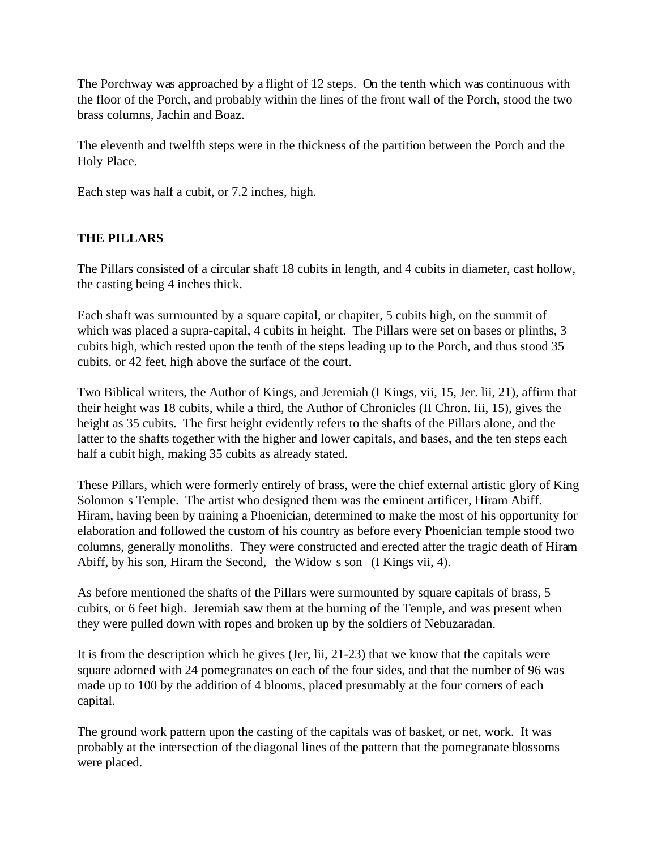The Porchway was approached by a flight of 12 steps. On the tenth which was continuous with the floor of the Porch, and probably within the lines of the front wall of the Porch, stood the two brass columns, Jachin and Boaz.

The eleventh and twelfth steps were in the thickness of the partition between the Porch and the Holy Place.

Each step was half a cubit, or 7.2 inches, high.

# **THE PILLARS**

The Pillars consisted of a circular shaft 18 cubits in length, and 4 cubits in diameter, cast hollow, the casting being 4 inches thick.

Each shaft was surmounted by a square capital, or chapiter, 5 cubits high, on the summit of which was placed a supra-capital, 4 cubits in height. The Pillars were set on bases or plinths, 3 cubits high, which rested upon the tenth of the steps leading up to the Porch, and thus stood 35 cubits, or 42 feet, high above the surface of the court.

Two Biblical writers, the Author of Kings, and Jeremiah (I Kings, vii, 15, Jer. lii, 21), affirm that their height was 18 cubits, while a third, the Author of Chronicles (II Chron. Iii, 15), gives the height as 35 cubits. The first height evidently refers to the shafts of the Pillars alone, and the latter to the shafts together with the higher and lower capitals, and bases, and the ten steps each half a cubit high, making 35 cubits as already stated.

These Pillars, which were formerly entirely of brass, were the chief external artistic glory of King Solomon s Temple. The artist who designed them was the eminent artificer, Hiram Abiff. Hiram, having been by training a Phoenician, determined to make the most of his opportunity for elaboration and followed the custom of his country as before every Phoenician temple stood two columns, generally monoliths. They were constructed and erected after the tragic death of Hiram Abiff, by his son, Hiram the Second, the Widow s son (I Kings vii, 4).

As before mentioned the shafts of the Pillars were surmounted by square capitals of brass, 5 cubits, or 6 feet high. Jeremiah saw them at the burning of the Temple, and was present when they were pulled down with ropes and broken up by the soldiers of Nebuzaradan.

It is from the description which he gives (Jer, lii, 21-23) that we know that the capitals were square adorned with 24 pomegranates on each of the four sides, and that the number of 96 was made up to 100 by the addition of 4 blooms, placed presumably at the four corners of each capital.

The ground work pattern upon the casting of the capitals was of basket, or net, work. It was probably at the intersection of the diagonal lines of the pattern that the pomegranate blossoms were placed.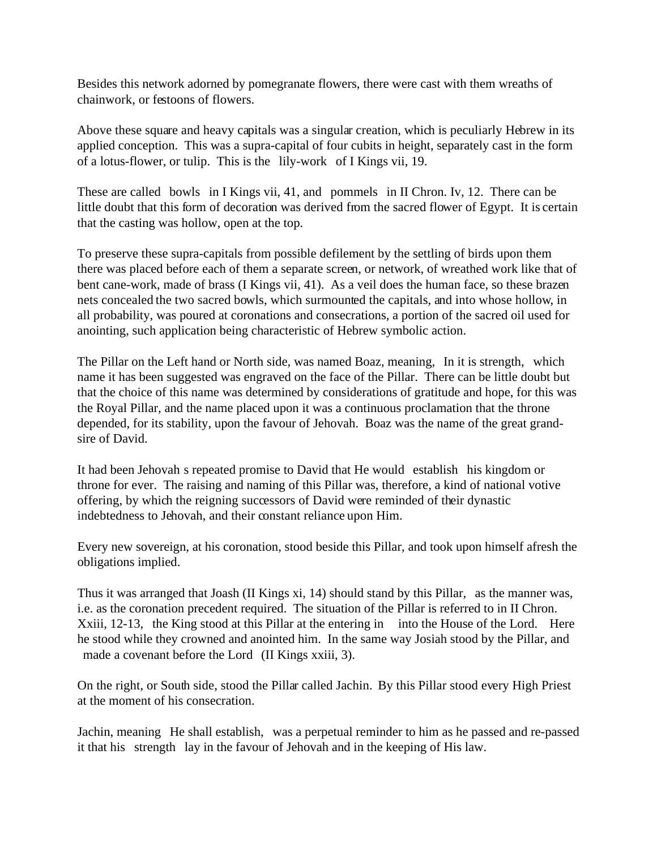Besides this network adorned by pomegranate flowers, there were cast with them wreaths of chainwork, or festoons of flowers.

Above these square and heavy capitals was a singular creation, which is peculiarly Hebrew in its applied conception. This was a supra-capital of four cubits in height, separately cast in the form of a lotus-flower, or tulip. This is the lily-work of I Kings vii, 19.

These are called bowls in I Kings vii, 41, and pommels in II Chron. Iv, 12. There can be little doubt that this form of decoration was derived from the sacred flower of Egypt. It is certain that the casting was hollow, open at the top.

To preserve these supra-capitals from possible defilement by the settling of birds upon them there was placed before each of them a separate screen, or network, of wreathed work like that of bent cane-work, made of brass (I Kings vii, 41). As a veil does the human face, so these brazen nets concealed the two sacred bowls, which surmounted the capitals, and into whose hollow, in all probability, was poured at coronations and consecrations, a portion of the sacred oil used for anointing, such application being characteristic of Hebrew symbolic action.

The Pillar on the Left hand or North side, was named Boaz, meaning, In it is strength, which name it has been suggested was engraved on the face of the Pillar. There can be little doubt but that the choice of this name was determined by considerations of gratitude and hope, for this was the Royal Pillar, and the name placed upon it was a continuous proclamation that the throne depended, for its stability, upon the favour of Jehovah. Boaz was the name of the great grandsire of David.

It had been Jehovah s repeated promise to David that He would establish his kingdom or throne for ever. The raising and naming of this Pillar was, therefore, a kind of national votive offering, by which the reigning successors of David were reminded of their dynastic indebtedness to Jehovah, and their constant reliance upon Him.

Every new sovereign, at his coronation, stood beside this Pillar, and took upon himself afresh the obligations implied.

Thus it was arranged that Joash (II Kings xi, 14) should stand by this Pillar, as the manner was, i.e. as the coronation precedent required. The situation of the Pillar is referred to in II Chron. Xxiii, 12-13, the King stood at this Pillar at the entering in into the House of the Lord. Here he stood while they crowned and anointed him. In the same way Josiah stood by the Pillar, and made a covenant before the Lord (II Kings xxiii, 3).

On the right, or South side, stood the Pillar called Jachin. By this Pillar stood every High Priest at the moment of his consecration.

Jachin, meaning He shall establish, was a perpetual reminder to him as he passed and re-passed it that his strength lay in the favour of Jehovah and in the keeping of His law.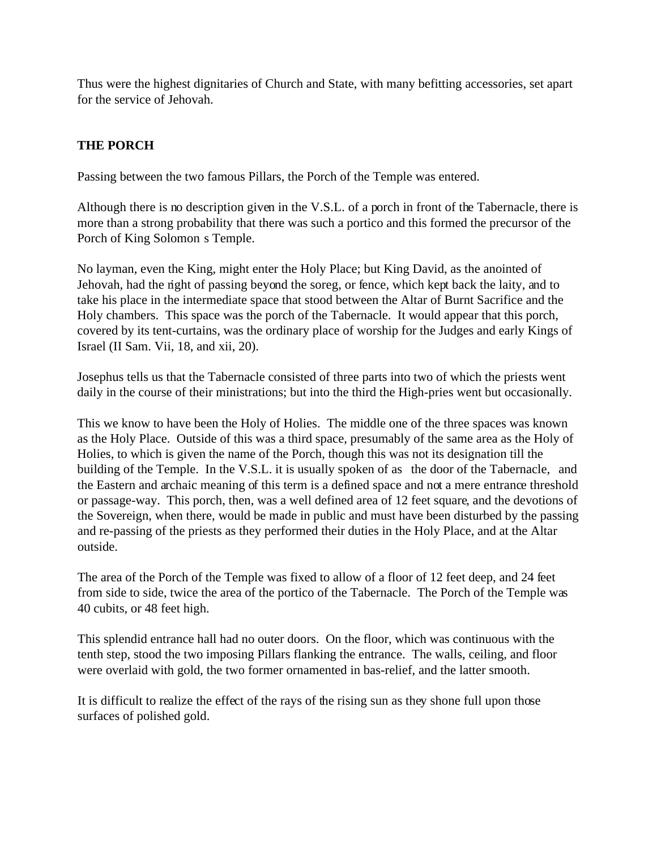Thus were the highest dignitaries of Church and State, with many befitting accessories, set apart for the service of Jehovah.

# **THE PORCH**

Passing between the two famous Pillars, the Porch of the Temple was entered.

Although there is no description given in the V.S.L. of a porch in front of the Tabernacle, there is more than a strong probability that there was such a portico and this formed the precursor of the Porch of King Solomon s Temple.

No layman, even the King, might enter the Holy Place; but King David, as the anointed of Jehovah, had the right of passing beyond the soreg, or fence, which kept back the laity, and to take his place in the intermediate space that stood between the Altar of Burnt Sacrifice and the Holy chambers. This space was the porch of the Tabernacle. It would appear that this porch, covered by its tent-curtains, was the ordinary place of worship for the Judges and early Kings of Israel (II Sam. Vii, 18, and xii, 20).

Josephus tells us that the Tabernacle consisted of three parts into two of which the priests went daily in the course of their ministrations; but into the third the High-pries went but occasionally.

This we know to have been the Holy of Holies. The middle one of the three spaces was known as the Holy Place. Outside of this was a third space, presumably of the same area as the Holy of Holies, to which is given the name of the Porch, though this was not its designation till the building of the Temple. In the V.S.L. it is usually spoken of as the door of the Tabernacle, and the Eastern and archaic meaning of this term is a defined space and not a mere entrance threshold or passage-way. This porch, then, was a well defined area of 12 feet square, and the devotions of the Sovereign, when there, would be made in public and must have been disturbed by the passing and re-passing of the priests as they performed their duties in the Holy Place, and at the Altar outside.

The area of the Porch of the Temple was fixed to allow of a floor of 12 feet deep, and 24 feet from side to side, twice the area of the portico of the Tabernacle. The Porch of the Temple was 40 cubits, or 48 feet high.

This splendid entrance hall had no outer doors. On the floor, which was continuous with the tenth step, stood the two imposing Pillars flanking the entrance. The walls, ceiling, and floor were overlaid with gold, the two former ornamented in bas-relief, and the latter smooth.

It is difficult to realize the effect of the rays of the rising sun as they shone full upon those surfaces of polished gold.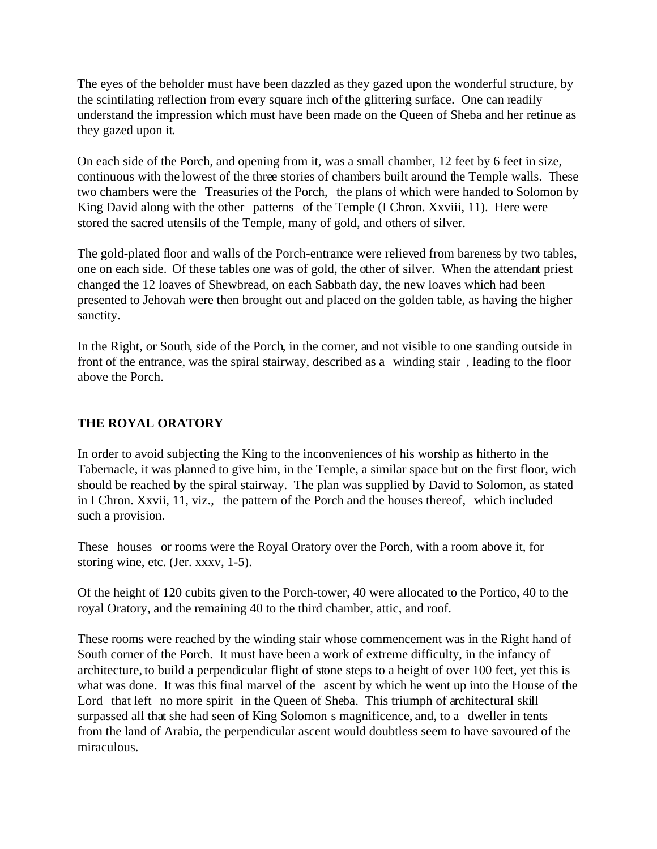The eyes of the beholder must have been dazzled as they gazed upon the wonderful structure, by the scintilating reflection from every square inch of the glittering surface. One can readily understand the impression which must have been made on the Queen of Sheba and her retinue as they gazed upon it.

On each side of the Porch, and opening from it, was a small chamber, 12 feet by 6 feet in size, continuous with the lowest of the three stories of chambers built around the Temple walls. These two chambers were the Treasuries of the Porch, the plans of which were handed to Solomon by King David along with the other patterns of the Temple (I Chron. Xxviii, 11). Here were stored the sacred utensils of the Temple, many of gold, and others of silver.

The gold-plated floor and walls of the Porch-entrance were relieved from bareness by two tables, one on each side. Of these tables one was of gold, the other of silver. When the attendant priest changed the 12 loaves of Shewbread, on each Sabbath day, the new loaves which had been presented to Jehovah were then brought out and placed on the golden table, as having the higher sanctity.

In the Right, or South, side of the Porch, in the corner, and not visible to one standing outside in front of the entrance, was the spiral stairway, described as a winding stair , leading to the floor above the Porch.

#### **THE ROYAL ORATORY**

In order to avoid subjecting the King to the inconveniences of his worship as hitherto in the Tabernacle, it was planned to give him, in the Temple, a similar space but on the first floor, wich should be reached by the spiral stairway. The plan was supplied by David to Solomon, as stated in I Chron. Xxvii, 11, viz., the pattern of the Porch and the houses thereof, which included such a provision.

These houses or rooms were the Royal Oratory over the Porch, with a room above it, for storing wine, etc. (Jer. xxxv, 1-5).

Of the height of 120 cubits given to the Porch-tower, 40 were allocated to the Portico, 40 to the royal Oratory, and the remaining 40 to the third chamber, attic, and roof.

These rooms were reached by the winding stair whose commencement was in the Right hand of South corner of the Porch. It must have been a work of extreme difficulty, in the infancy of architecture, to build a perpendicular flight of stone steps to a height of over 100 feet, yet this is what was done. It was this final marvel of the ascent by which he went up into the House of the Lord that left no more spirit in the Queen of Sheba. This triumph of architectural skill surpassed all that she had seen of King Solomon s magnificence, and, to a dweller in tents from the land of Arabia, the perpendicular ascent would doubtless seem to have savoured of the miraculous.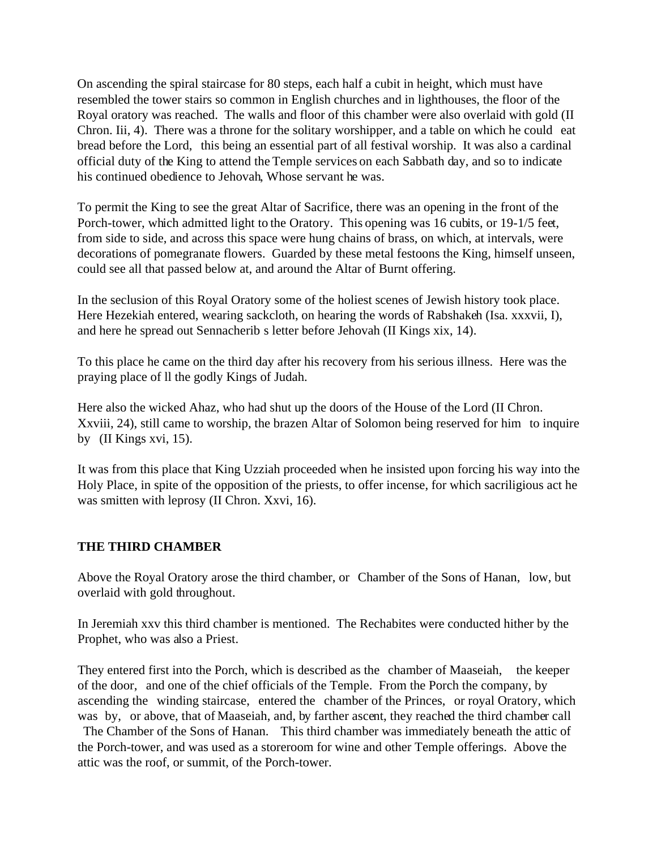On ascending the spiral staircase for 80 steps, each half a cubit in height, which must have resembled the tower stairs so common in English churches and in lighthouses, the floor of the Royal oratory was reached. The walls and floor of this chamber were also overlaid with gold (II Chron. Iii, 4). There was a throne for the solitary worshipper, and a table on which he could eat bread before the Lord, this being an essential part of all festival worship. It was also a cardinal official duty of the King to attend the Temple services on each Sabbath day, and so to indicate his continued obedience to Jehovah, Whose servant he was.

To permit the King to see the great Altar of Sacrifice, there was an opening in the front of the Porch-tower, which admitted light to the Oratory. This opening was 16 cubits, or 19-1/5 feet, from side to side, and across this space were hung chains of brass, on which, at intervals, were decorations of pomegranate flowers. Guarded by these metal festoons the King, himself unseen, could see all that passed below at, and around the Altar of Burnt offering.

In the seclusion of this Royal Oratory some of the holiest scenes of Jewish history took place. Here Hezekiah entered, wearing sackcloth, on hearing the words of Rabshakeh (Isa. xxxvii, I), and here he spread out Sennacherib s letter before Jehovah (II Kings xix, 14).

To this place he came on the third day after his recovery from his serious illness. Here was the praying place of ll the godly Kings of Judah.

Here also the wicked Ahaz, who had shut up the doors of the House of the Lord (II Chron. Xxviii, 24), still came to worship, the brazen Altar of Solomon being reserved for him to inquire by (II Kings xvi, 15).

It was from this place that King Uzziah proceeded when he insisted upon forcing his way into the Holy Place, in spite of the opposition of the priests, to offer incense, for which sacriligious act he was smitten with leprosy (II Chron. Xxvi, 16).

#### **THE THIRD CHAMBER**

Above the Royal Oratory arose the third chamber, or Chamber of the Sons of Hanan, low, but overlaid with gold throughout.

In Jeremiah xxv this third chamber is mentioned. The Rechabites were conducted hither by the Prophet, who was also a Priest.

They entered first into the Porch, which is described as the chamber of Maaseiah, the keeper of the door, and one of the chief officials of the Temple. From the Porch the company, by ascending the winding staircase, entered the chamber of the Princes, or royal Oratory, which was by, or above, that of Maaseiah, and, by farther ascent, they reached the third chamber call

 The Chamber of the Sons of Hanan. This third chamber was immediately beneath the attic of the Porch-tower, and was used as a storeroom for wine and other Temple offerings. Above the attic was the roof, or summit, of the Porch-tower.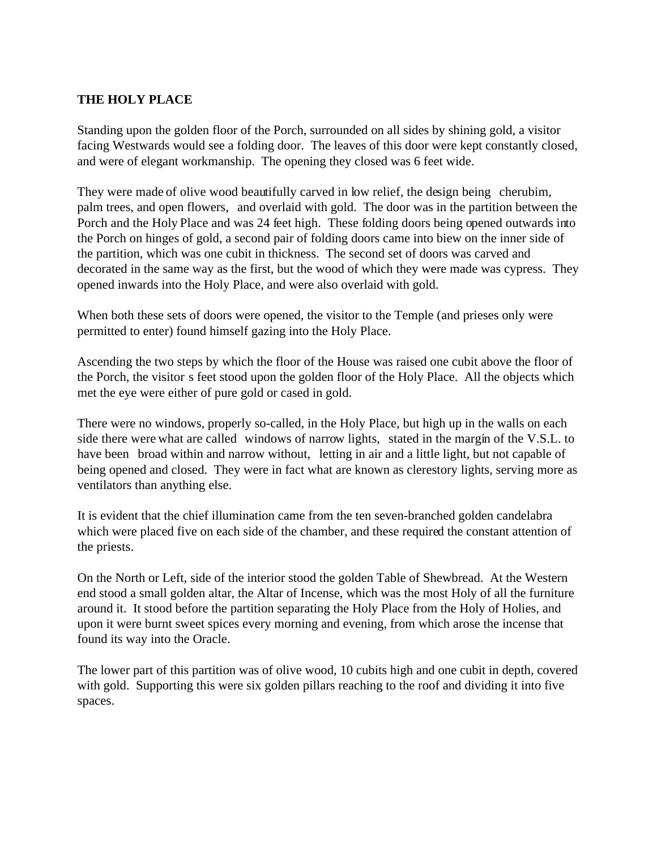#### **THE HOLY PLACE**

Standing upon the golden floor of the Porch, surrounded on all sides by shining gold, a visitor facing Westwards would see a folding door. The leaves of this door were kept constantly closed, and were of elegant workmanship. The opening they closed was 6 feet wide.

They were made of olive wood beautifully carved in low relief, the design being cherubim, palm trees, and open flowers, and overlaid with gold. The door was in the partition between the Porch and the Holy Place and was 24 feet high. These folding doors being opened outwards into the Porch on hinges of gold, a second pair of folding doors came into biew on the inner side of the partition, which was one cubit in thickness. The second set of doors was carved and decorated in the same way as the first, but the wood of which they were made was cypress. They opened inwards into the Holy Place, and were also overlaid with gold.

When both these sets of doors were opened, the visitor to the Temple (and prieses only were permitted to enter) found himself gazing into the Holy Place.

Ascending the two steps by which the floor of the House was raised one cubit above the floor of the Porch, the visitor s feet stood upon the golden floor of the Holy Place. All the objects which met the eye were either of pure gold or cased in gold.

There were no windows, properly so-called, in the Holy Place, but high up in the walls on each side there were what are called windows of narrow lights, stated in the margin of the V.S.L. to have been broad within and narrow without, letting in air and a little light, but not capable of being opened and closed. They were in fact what are known as clerestory lights, serving more as ventilators than anything else.

It is evident that the chief illumination came from the ten seven-branched golden candelabra which were placed five on each side of the chamber, and these required the constant attention of the priests.

On the North or Left, side of the interior stood the golden Table of Shewbread. At the Western end stood a small golden altar, the Altar of Incense, which was the most Holy of all the furniture around it. It stood before the partition separating the Holy Place from the Holy of Holies, and upon it were burnt sweet spices every morning and evening, from which arose the incense that found its way into the Oracle.

The lower part of this partition was of olive wood, 10 cubits high and one cubit in depth, covered with gold. Supporting this were six golden pillars reaching to the roof and dividing it into five spaces.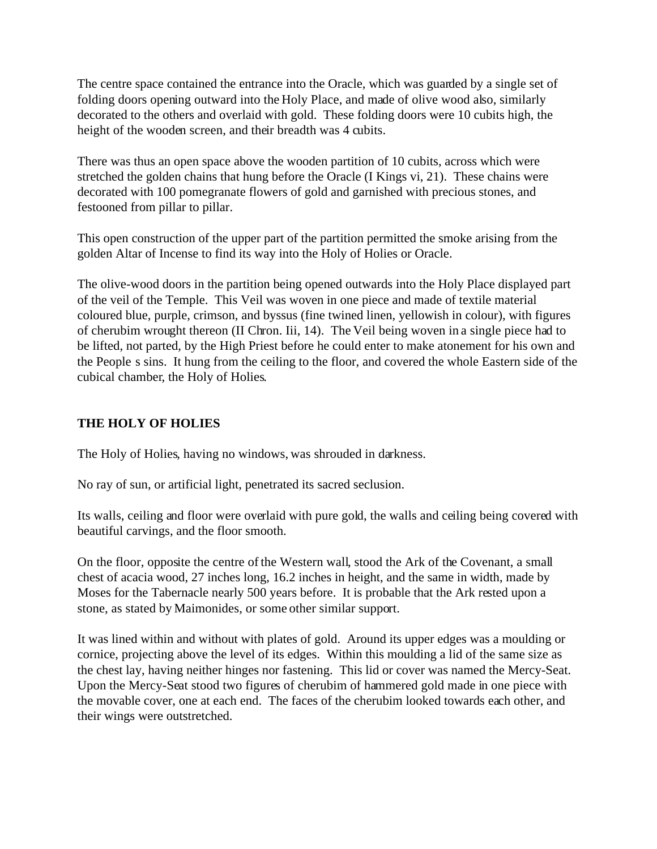The centre space contained the entrance into the Oracle, which was guarded by a single set of folding doors opening outward into the Holy Place, and made of olive wood also, similarly decorated to the others and overlaid with gold. These folding doors were 10 cubits high, the height of the wooden screen, and their breadth was 4 cubits.

There was thus an open space above the wooden partition of 10 cubits, across which were stretched the golden chains that hung before the Oracle (I Kings vi, 21). These chains were decorated with 100 pomegranate flowers of gold and garnished with precious stones, and festooned from pillar to pillar.

This open construction of the upper part of the partition permitted the smoke arising from the golden Altar of Incense to find its way into the Holy of Holies or Oracle.

The olive-wood doors in the partition being opened outwards into the Holy Place displayed part of the veil of the Temple. This Veil was woven in one piece and made of textile material coloured blue, purple, crimson, and byssus (fine twined linen, yellowish in colour), with figures of cherubim wrought thereon (II Chron. Iii, 14). The Veil being woven in a single piece had to be lifted, not parted, by the High Priest before he could enter to make atonement for his own and the People s sins. It hung from the ceiling to the floor, and covered the whole Eastern side of the cubical chamber, the Holy of Holies.

# **THE HOLY OF HOLIES**

The Holy of Holies, having no windows, was shrouded in darkness.

No ray of sun, or artificial light, penetrated its sacred seclusion.

Its walls, ceiling and floor were overlaid with pure gold, the walls and ceiling being covered with beautiful carvings, and the floor smooth.

On the floor, opposite the centre of the Western wall, stood the Ark of the Covenant, a small chest of acacia wood, 27 inches long, 16.2 inches in height, and the same in width, made by Moses for the Tabernacle nearly 500 years before. It is probable that the Ark rested upon a stone, as stated by Maimonides, or some other similar support.

It was lined within and without with plates of gold. Around its upper edges was a moulding or cornice, projecting above the level of its edges. Within this moulding a lid of the same size as the chest lay, having neither hinges nor fastening. This lid or cover was named the Mercy-Seat. Upon the Mercy-Seat stood two figures of cherubim of hammered gold made in one piece with the movable cover, one at each end. The faces of the cherubim looked towards each other, and their wings were outstretched.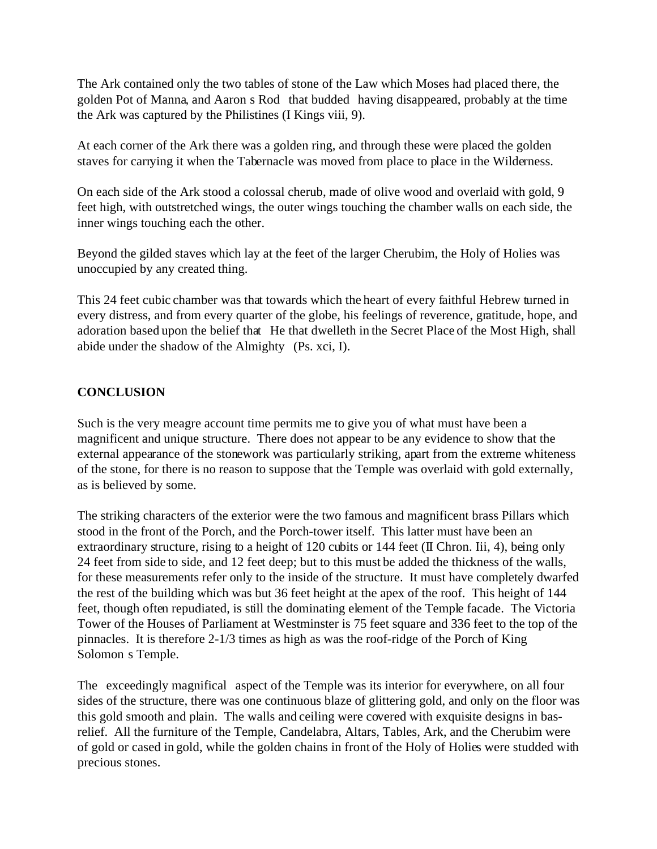The Ark contained only the two tables of stone of the Law which Moses had placed there, the golden Pot of Manna, and Aaron s Rod that budded having disappeared, probably at the time the Ark was captured by the Philistines (I Kings viii, 9).

At each corner of the Ark there was a golden ring, and through these were placed the golden staves for carrying it when the Tabernacle was moved from place to place in the Wilderness.

On each side of the Ark stood a colossal cherub, made of olive wood and overlaid with gold, 9 feet high, with outstretched wings, the outer wings touching the chamber walls on each side, the inner wings touching each the other.

Beyond the gilded staves which lay at the feet of the larger Cherubim, the Holy of Holies was unoccupied by any created thing.

This 24 feet cubic chamber was that towards which the heart of every faithful Hebrew turned in every distress, and from every quarter of the globe, his feelings of reverence, gratitude, hope, and adoration based upon the belief that He that dwelleth in the Secret Place of the Most High, shall abide under the shadow of the Almighty (Ps. xci, I).

### **CONCLUSION**

Such is the very meagre account time permits me to give you of what must have been a magnificent and unique structure. There does not appear to be any evidence to show that the external appearance of the stonework was particularly striking, apart from the extreme whiteness of the stone, for there is no reason to suppose that the Temple was overlaid with gold externally, as is believed by some.

The striking characters of the exterior were the two famous and magnificent brass Pillars which stood in the front of the Porch, and the Porch-tower itself. This latter must have been an extraordinary structure, rising to a height of 120 cubits or 144 feet (II Chron. Iii, 4), being only 24 feet from side to side, and 12 feet deep; but to this must be added the thickness of the walls, for these measurements refer only to the inside of the structure. It must have completely dwarfed the rest of the building which was but 36 feet height at the apex of the roof. This height of 144 feet, though often repudiated, is still the dominating element of the Temple facade. The Victoria Tower of the Houses of Parliament at Westminster is 75 feet square and 336 feet to the top of the pinnacles. It is therefore 2-1/3 times as high as was the roof-ridge of the Porch of King Solomon s Temple.

The exceedingly magnifical aspect of the Temple was its interior for everywhere, on all four sides of the structure, there was one continuous blaze of glittering gold, and only on the floor was this gold smooth and plain. The walls and ceiling were covered with exquisite designs in basrelief. All the furniture of the Temple, Candelabra, Altars, Tables, Ark, and the Cherubim were of gold or cased in gold, while the golden chains in front of the Holy of Holies were studded with precious stones.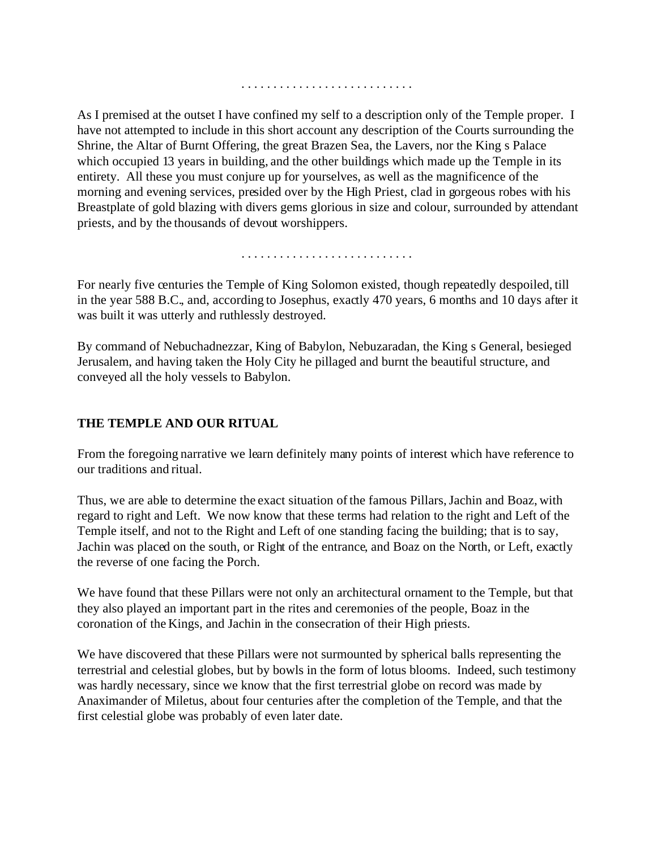As I premised at the outset I have confined my self to a description only of the Temple proper. I have not attempted to include in this short account any description of the Courts surrounding the Shrine, the Altar of Burnt Offering, the great Brazen Sea, the Lavers, nor the King s Palace which occupied 13 years in building, and the other buildings which made up the Temple in its entirety. All these you must conjure up for yourselves, as well as the magnificence of the morning and evening services, presided over by the High Priest, clad in gorgeous robes with his Breastplate of gold blazing with divers gems glorious in size and colour, surrounded by attendant priests, and by the thousands of devout worshippers.

. . . . . . . . . . . . . . . . . . . . . . . . . . .

. . . . . . . . . . . . . . . . . . . . . . . . . . .

For nearly five centuries the Temple of King Solomon existed, though repeatedly despoiled, till in the year 588 B.C., and, according to Josephus, exactly 470 years, 6 months and 10 days after it was built it was utterly and ruthlessly destroyed.

By command of Nebuchadnezzar, King of Babylon, Nebuzaradan, the King s General, besieged Jerusalem, and having taken the Holy City he pillaged and burnt the beautiful structure, and conveyed all the holy vessels to Babylon.

#### **THE TEMPLE AND OUR RITUAL**

From the foregoing narrative we learn definitely many points of interest which have reference to our traditions and ritual.

Thus, we are able to determine the exact situation of the famous Pillars, Jachin and Boaz, with regard to right and Left. We now know that these terms had relation to the right and Left of the Temple itself, and not to the Right and Left of one standing facing the building; that is to say, Jachin was placed on the south, or Right of the entrance, and Boaz on the North, or Left, exactly the reverse of one facing the Porch.

We have found that these Pillars were not only an architectural ornament to the Temple, but that they also played an important part in the rites and ceremonies of the people, Boaz in the coronation of the Kings, and Jachin in the consecration of their High priests.

We have discovered that these Pillars were not surmounted by spherical balls representing the terrestrial and celestial globes, but by bowls in the form of lotus blooms. Indeed, such testimony was hardly necessary, since we know that the first terrestrial globe on record was made by Anaximander of Miletus, about four centuries after the completion of the Temple, and that the first celestial globe was probably of even later date.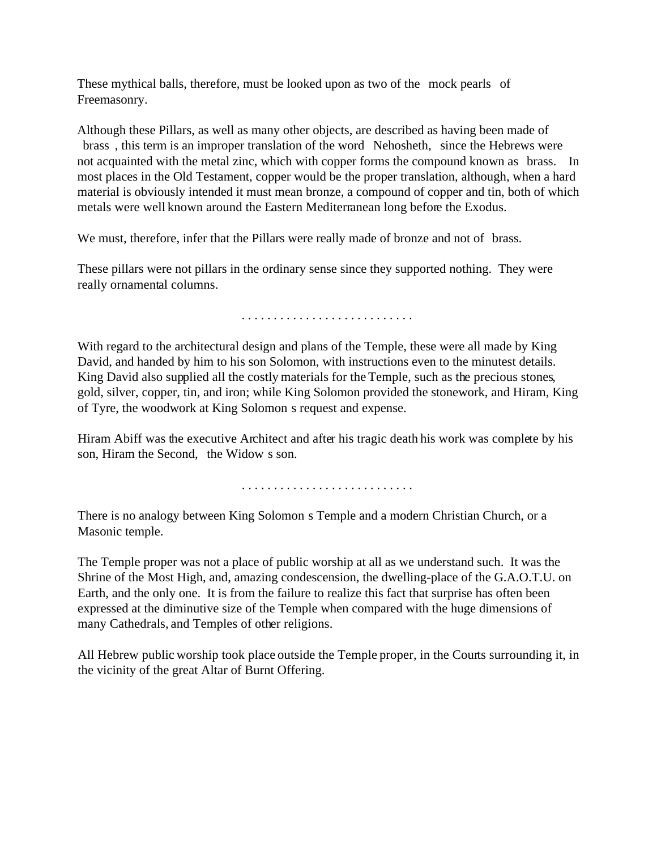These mythical balls, therefore, must be looked upon as two of the mock pearls of Freemasonry.

Although these Pillars, as well as many other objects, are described as having been made of brass , this term is an improper translation of the word Nehosheth, since the Hebrews were not acquainted with the metal zinc, which with copper forms the compound known as brass. In most places in the Old Testament, copper would be the proper translation, although, when a hard material is obviously intended it must mean bronze, a compound of copper and tin, both of which metals were well known around the Eastern Mediterranean long before the Exodus.

We must, therefore, infer that the Pillars were really made of bronze and not of brass.

These pillars were not pillars in the ordinary sense since they supported nothing. They were really ornamental columns.

. . . . . . . . . . . . . . . . . . . . . . . . . . .

With regard to the architectural design and plans of the Temple, these were all made by King David, and handed by him to his son Solomon, with instructions even to the minutest details. King David also supplied all the costly materials for the Temple, such as the precious stones, gold, silver, copper, tin, and iron; while King Solomon provided the stonework, and Hiram, King of Tyre, the woodwork at King Solomon s request and expense.

Hiram Abiff was the executive Architect and after his tragic death his work was complete by his son, Hiram the Second, the Widow s son.

. . . . . . . . . . . . . . . . . . . . . . . . . . .

There is no analogy between King Solomon s Temple and a modern Christian Church, or a Masonic temple.

The Temple proper was not a place of public worship at all as we understand such. It was the Shrine of the Most High, and, amazing condescension, the dwelling-place of the G.A.O.T.U. on Earth, and the only one. It is from the failure to realize this fact that surprise has often been expressed at the diminutive size of the Temple when compared with the huge dimensions of many Cathedrals, and Temples of other religions.

All Hebrew public worship took place outside the Temple proper, in the Courts surrounding it, in the vicinity of the great Altar of Burnt Offering.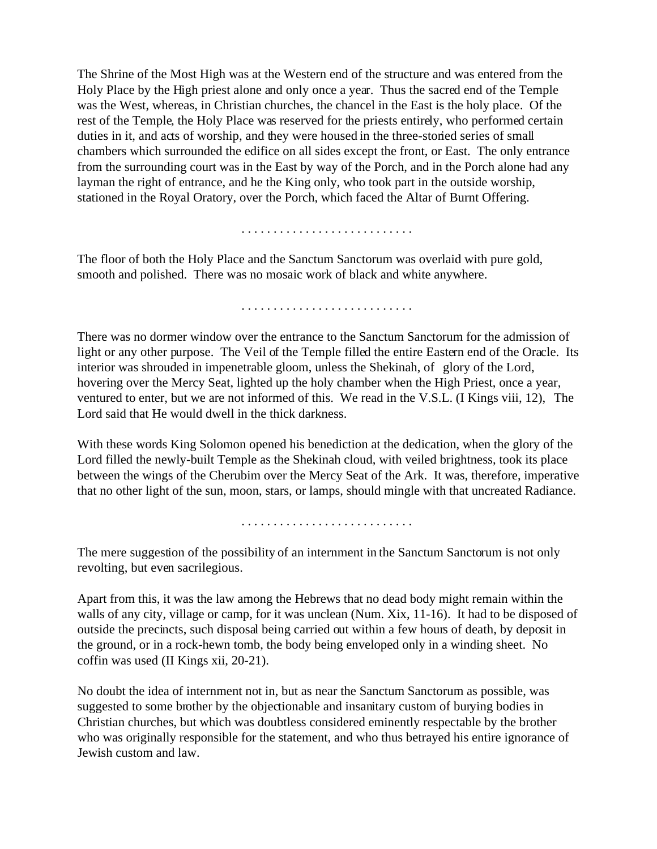The Shrine of the Most High was at the Western end of the structure and was entered from the Holy Place by the High priest alone and only once a year. Thus the sacred end of the Temple was the West, whereas, in Christian churches, the chancel in the East is the holy place. Of the rest of the Temple, the Holy Place was reserved for the priests entirely, who performed certain duties in it, and acts of worship, and they were housed in the three-storied series of small chambers which surrounded the edifice on all sides except the front, or East. The only entrance from the surrounding court was in the East by way of the Porch, and in the Porch alone had any layman the right of entrance, and he the King only, who took part in the outside worship, stationed in the Royal Oratory, over the Porch, which faced the Altar of Burnt Offering.

. . . . . . . . . . . . . . . . . . . . . . . . . . .

The floor of both the Holy Place and the Sanctum Sanctorum was overlaid with pure gold, smooth and polished. There was no mosaic work of black and white anywhere.

. . . . . . . . . . . . . . . . . . . . . . . . . . .

There was no dormer window over the entrance to the Sanctum Sanctorum for the admission of light or any other purpose. The Veil of the Temple filled the entire Eastern end of the Oracle. Its interior was shrouded in impenetrable gloom, unless the Shekinah, of glory of the Lord, hovering over the Mercy Seat, lighted up the holy chamber when the High Priest, once a year, ventured to enter, but we are not informed of this. We read in the V.S.L. (I Kings viii, 12), The Lord said that He would dwell in the thick darkness.

With these words King Solomon opened his benediction at the dedication, when the glory of the Lord filled the newly-built Temple as the Shekinah cloud, with veiled brightness, took its place between the wings of the Cherubim over the Mercy Seat of the Ark. It was, therefore, imperative that no other light of the sun, moon, stars, or lamps, should mingle with that uncreated Radiance.

. . . . . . . . . . . . . . . . . . . . . . . . . . .

The mere suggestion of the possibility of an internment in the Sanctum Sanctorum is not only revolting, but even sacrilegious.

Apart from this, it was the law among the Hebrews that no dead body might remain within the walls of any city, village or camp, for it was unclean (Num. Xix, 11-16). It had to be disposed of outside the precincts, such disposal being carried out within a few hours of death, by deposit in the ground, or in a rock-hewn tomb, the body being enveloped only in a winding sheet. No coffin was used (II Kings xii, 20-21).

No doubt the idea of internment not in, but as near the Sanctum Sanctorum as possible, was suggested to some brother by the objectionable and insanitary custom of burying bodies in Christian churches, but which was doubtless considered eminently respectable by the brother who was originally responsible for the statement, and who thus betrayed his entire ignorance of Jewish custom and law.